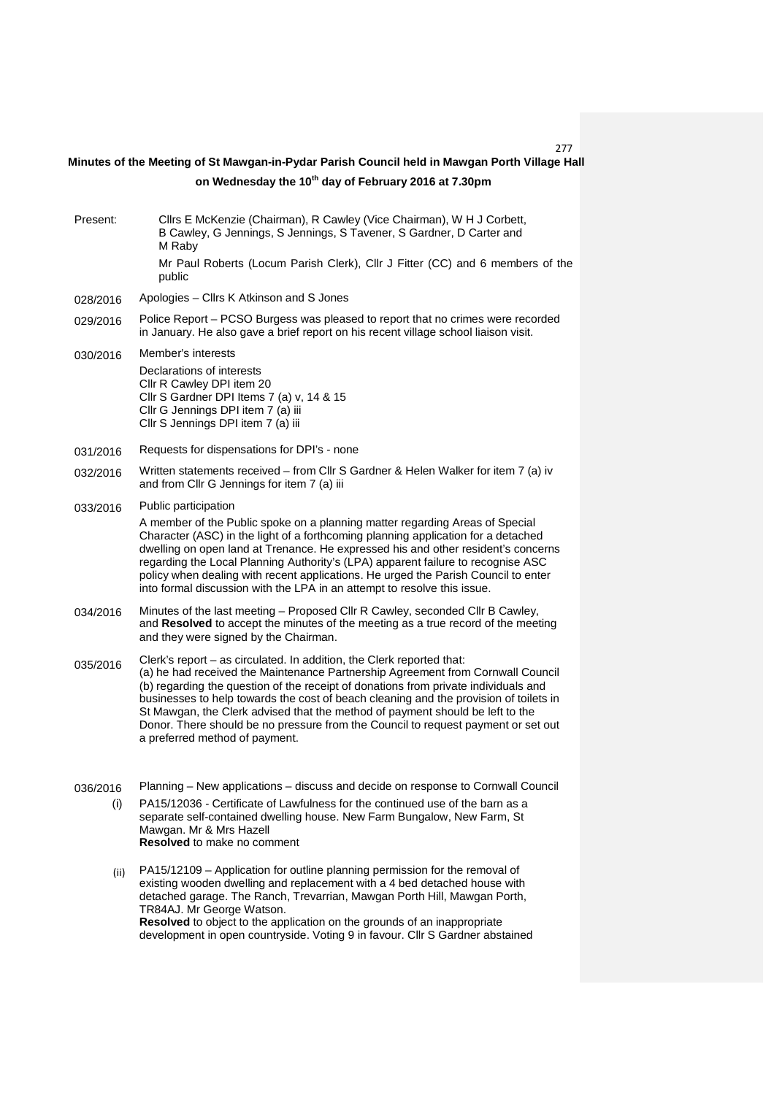277

## **on Wednesday the 10th day of February 2016 at 7.30pm Minutes of the Meeting of St Mawgan-in-Pydar Parish Council held in Mawgan Porth Village Hall**

| Present:        | Cllrs E McKenzie (Chairman), R Cawley (Vice Chairman), W H J Corbett,<br>B Cawley, G Jennings, S Jennings, S Tavener, S Gardner, D Carter and<br>M Raby<br>Mr Paul Roberts (Locum Parish Clerk), Cllr J Fitter (CC) and 6 members of the                                                                                                                                                                                                                                                                                                         |  |  |  |
|-----------------|--------------------------------------------------------------------------------------------------------------------------------------------------------------------------------------------------------------------------------------------------------------------------------------------------------------------------------------------------------------------------------------------------------------------------------------------------------------------------------------------------------------------------------------------------|--|--|--|
|                 | public                                                                                                                                                                                                                                                                                                                                                                                                                                                                                                                                           |  |  |  |
| 028/2016        | Apologies - Cllrs K Atkinson and S Jones                                                                                                                                                                                                                                                                                                                                                                                                                                                                                                         |  |  |  |
| 029/2016        | Police Report – PCSO Burgess was pleased to report that no crimes were recorded<br>in January. He also gave a brief report on his recent village school liaison visit.                                                                                                                                                                                                                                                                                                                                                                           |  |  |  |
| 030/2016        | Member's interests<br>Declarations of interests<br>Cllr R Cawley DPI item 20<br>Cllr S Gardner DPI Items 7 (a) v, 14 & 15<br>Cllr G Jennings DPI item 7 (a) iii<br>Cllr S Jennings DPI item 7 (a) iii                                                                                                                                                                                                                                                                                                                                            |  |  |  |
| 031/2016        | Requests for dispensations for DPI's - none                                                                                                                                                                                                                                                                                                                                                                                                                                                                                                      |  |  |  |
| 032/2016        | Written statements received - from Cllr S Gardner & Helen Walker for item 7 (a) iv<br>and from Cllr G Jennings for item 7 (a) iii                                                                                                                                                                                                                                                                                                                                                                                                                |  |  |  |
| 033/2016        | Public participation                                                                                                                                                                                                                                                                                                                                                                                                                                                                                                                             |  |  |  |
|                 | A member of the Public spoke on a planning matter regarding Areas of Special<br>Character (ASC) in the light of a forthcoming planning application for a detached<br>dwelling on open land at Trenance. He expressed his and other resident's concerns<br>regarding the Local Planning Authority's (LPA) apparent failure to recognise ASC<br>policy when dealing with recent applications. He urged the Parish Council to enter<br>into formal discussion with the LPA in an attempt to resolve this issue.                                     |  |  |  |
| 034/2016        | Minutes of the last meeting - Proposed Cllr R Cawley, seconded Cllr B Cawley,<br>and Resolved to accept the minutes of the meeting as a true record of the meeting<br>and they were signed by the Chairman.                                                                                                                                                                                                                                                                                                                                      |  |  |  |
| 035/2016        | Clerk's report - as circulated. In addition, the Clerk reported that:<br>(a) he had received the Maintenance Partnership Agreement from Cornwall Council<br>(b) regarding the question of the receipt of donations from private individuals and<br>businesses to help towards the cost of beach cleaning and the provision of toilets in<br>St Mawgan, the Clerk advised that the method of payment should be left to the<br>Donor. There should be no pressure from the Council to request payment or set out<br>a preferred method of payment. |  |  |  |
| 036/2016<br>(i) | Planning - New applications - discuss and decide on response to Cornwall Council<br>PA15/12036 - Certificate of Lawfulness for the continued use of the barn as a<br>separate self-contained dwelling house. New Farm Bungalow, New Farm, St<br>Mawgan. Mr & Mrs Hazell                                                                                                                                                                                                                                                                          |  |  |  |

**Resolved** to make no comment

 $(i)$  PA15/12109 – Application for outline planning permission for the removal of existing wooden dwelling and replacement with a 4 bed detached house with detached garage. The Ranch, Trevarrian, Mawgan Porth Hill, Mawgan Porth, TR84AJ. Mr George Watson. **Resolved** to object to the application on the grounds of an inappropriate development in open countryside. Voting 9 in favour. Cllr S Gardner abstained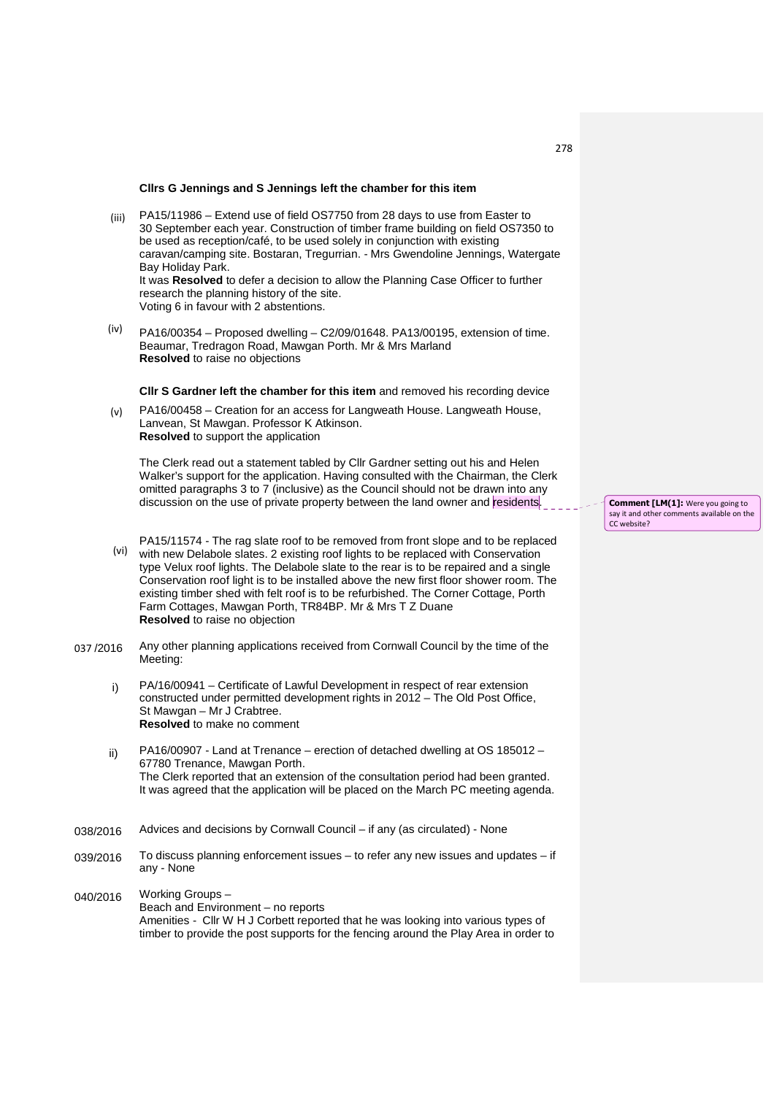## **Cllrs G Jennings and S Jennings left the chamber for this item**

- (iii) PA15/11986 – Extend use of field OS7750 from 28 days to use from Easter to 30 September each year. Construction of timber frame building on field OS7350 to be used as reception/café, to be used solely in conjunction with existing caravan/camping site. Bostaran, Tregurrian. - Mrs Gwendoline Jennings, Watergate Bay Holiday Park. It was **Resolved** to defer a decision to allow the Planning Case Officer to further research the planning history of the site. Voting 6 in favour with 2 abstentions.
- (iv) PA16/00354 – Proposed dwelling – C2/09/01648. PA13/00195, extension of time. Beaumar, Tredragon Road, Mawgan Porth. Mr & Mrs Marland **Resolved** to raise no objections

**Cllr S Gardner left the chamber for this item** and removed his recording device

 $(v)$ PA16/00458 – Creation for an access for Langweath House. Langweath House, Lanvean, St Mawgan. Professor K Atkinson. **Resolved** to support the application

The Clerk read out a statement tabled by Cllr Gardner setting out his and Helen Walker's support for the application. Having consulted with the Chairman, the Clerk omitted paragraphs 3 to 7 (inclusive) as the Council should not be drawn into any discussion on the use of private property between the land owner and residents.

- PA15/11574 The rag slate roof to be removed from front slope and to be replaced
- (vi) with new Delabole slates. 2 existing roof lights to be replaced with Conservation type Velux roof lights. The Delabole slate to the rear is to be repaired and a single Conservation roof light is to be installed above the new first floor shower room. The existing timber shed with felt roof is to be refurbished. The Corner Cottage, Porth Farm Cottages, Mawgan Porth, TR84BP. Mr & Mrs T Z Duane **Resolved** to raise no objection
- 037 /2016 Any other planning applications received from Cornwall Council by the time of the Meeting:
	- i) PA/16/00941 – Certificate of Lawful Development in respect of rear extension constructed under permitted development rights in 2012 – The Old Post Office, St Mawgan – Mr J Crabtree. **Resolved** to make no comment
	- ii) PA16/00907 - Land at Trenance – erection of detached dwelling at OS 185012 – 67780 Trenance, Mawgan Porth. The Clerk reported that an extension of the consultation period had been granted. It was agreed that the application will be placed on the March PC meeting agenda.
- 038/2016 Advices and decisions by Cornwall Council – if any (as circulated) - None
- 039/2016 To discuss planning enforcement issues – to refer any new issues and updates – if any - None
- 040/2016 Working Groups – Beach and Environment – no reports Amenities - Cllr W H J Corbett reported that he was looking into various types of timber to provide the post supports for the fencing around the Play Area in order to

**Comment [LM(1]:** Were you going to say it and other comments available on the CC website?

278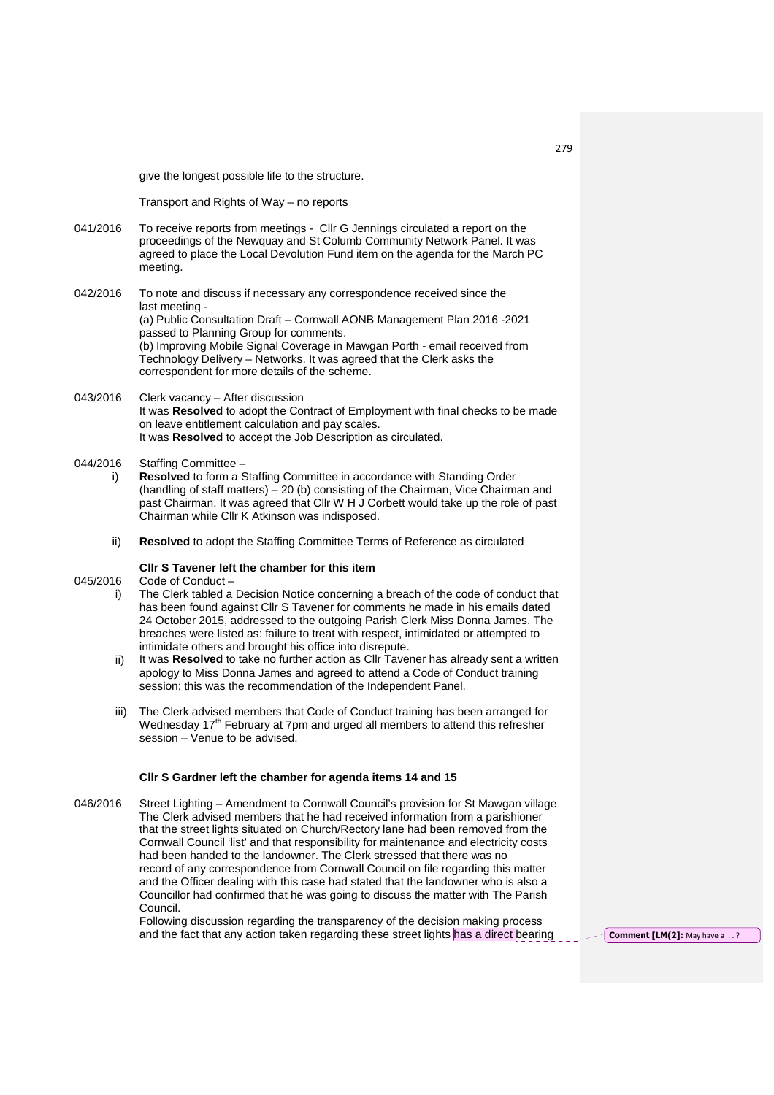give the longest possible life to the structure.

Transport and Rights of Way – no reports

041/2016 To receive reports from meetings - Cllr G Jennings circulated a report on the proceedings of the Newquay and St Columb Community Network Panel. It was agreed to place the Local Devolution Fund item on the agenda for the March PC meeting.

042/2016 To note and discuss if necessary any correspondence received since the last meeting - (a) Public Consultation Draft – Cornwall AONB Management Plan 2016 -2021 passed to Planning Group for comments. (b) Improving Mobile Signal Coverage in Mawgan Porth - email received from Technology Delivery – Networks. It was agreed that the Clerk asks the correspondent for more details of the scheme.

- 043/2016 Clerk vacancy – After discussion It was **Resolved** to adopt the Contract of Employment with final checks to be made on leave entitlement calculation and pay scales. It was **Resolved** to accept the Job Description as circulated.
- 044/2016 Staffing Committee –
	- i) **Resolved** to form a Staffing Committee in accordance with Standing Order (handling of staff matters) – 20 (b) consisting of the Chairman, Vice Chairman and past Chairman. It was agreed that Cllr W H J Corbett would take up the role of past Chairman while Cllr K Atkinson was indisposed.
	- ii) **Resolved** to adopt the Staffing Committee Terms of Reference as circulated

## **Cllr S Tavener left the chamber for this item**

045/2016 Code of Conduct –

- i) The Clerk tabled a Decision Notice concerning a breach of the code of conduct that has been found against Cllr S Tavener for comments he made in his emails dated 24 October 2015, addressed to the outgoing Parish Clerk Miss Donna James. The breaches were listed as: failure to treat with respect, intimidated or attempted to intimidate others and brought his office into disrepute.
	- ii) It was **Resolved** to take no further action as Cllr Tavener has already sent a written apology to Miss Donna James and agreed to attend a Code of Conduct training session; this was the recommendation of the Independent Panel.
- iii) The Clerk advised members that Code of Conduct training has been arranged for Wednesday 17<sup>th</sup> February at 7pm and urged all members to attend this refresher session – Venue to be advised.

## **Cllr S Gardner left the chamber for agenda items 14 and 15**

046/2016 Street Lighting – Amendment to Cornwall Council's provision for St Mawgan village The Clerk advised members that he had received information from a parishioner that the street lights situated on Church/Rectory lane had been removed from the Cornwall Council 'list' and that responsibility for maintenance and electricity costs had been handed to the landowner. The Clerk stressed that there was no record of any correspondence from Cornwall Council on file regarding this matter and the Officer dealing with this case had stated that the landowner who is also a Councillor had confirmed that he was going to discuss the matter with The Parish Council.

> Following discussion regarding the transparency of the decision making process and the fact that any action taken regarding these street lights has a direct bearing **Comment [LM(2]:** May have a ..?

279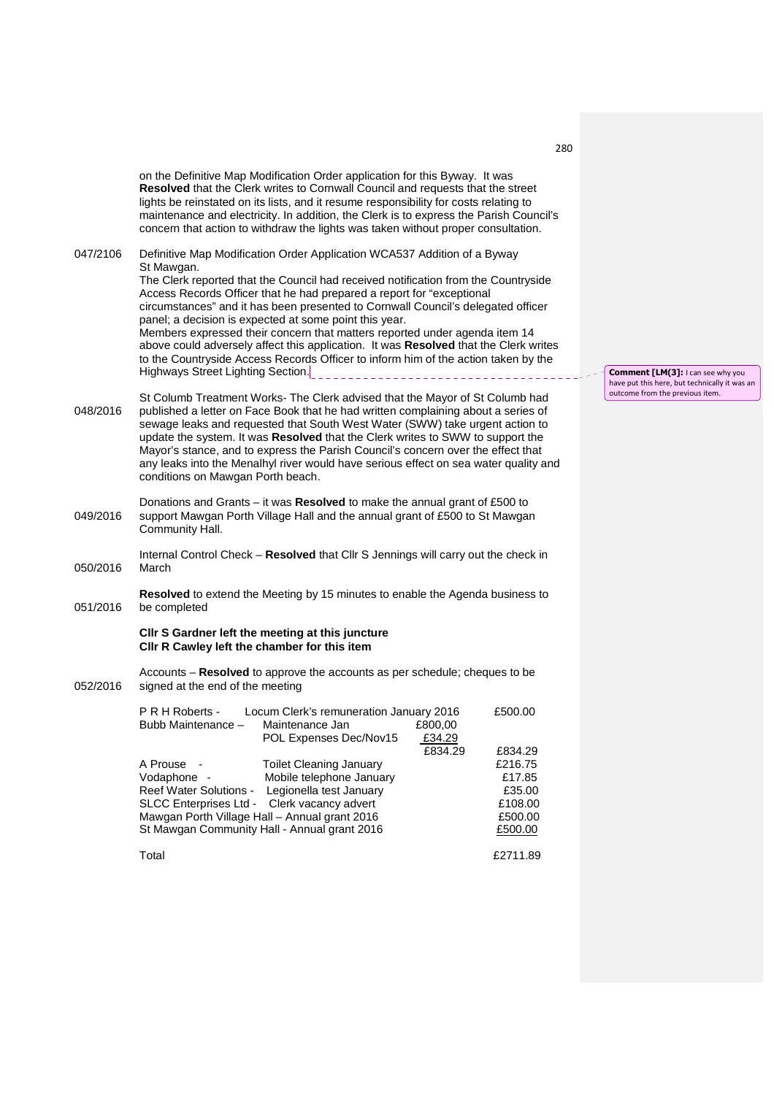|          | on the Definitive Map Modification Order application for this Byway. It was<br>Resolved that the Clerk writes to Cornwall Council and requests that the street<br>lights be reinstated on its lists, and it resume responsibility for costs relating to<br>maintenance and electricity. In addition, the Clerk is to express the Parish Council's<br>concern that action to withdraw the lights was taken without proper consultation.                                                                                                                                                                                   |                                                                                      |                              |                    |  |
|----------|--------------------------------------------------------------------------------------------------------------------------------------------------------------------------------------------------------------------------------------------------------------------------------------------------------------------------------------------------------------------------------------------------------------------------------------------------------------------------------------------------------------------------------------------------------------------------------------------------------------------------|--------------------------------------------------------------------------------------|------------------------------|--------------------|--|
| 047/2106 | Definitive Map Modification Order Application WCA537 Addition of a Byway                                                                                                                                                                                                                                                                                                                                                                                                                                                                                                                                                 |                                                                                      |                              |                    |  |
|          | St Mawgan.<br>The Clerk reported that the Council had received notification from the Countryside<br>Access Records Officer that he had prepared a report for "exceptional<br>circumstances" and it has been presented to Cornwall Council's delegated officer<br>panel; a decision is expected at some point this year.<br>Members expressed their concern that matters reported under agenda item 14<br>above could adversely affect this application. It was Resolved that the Clerk writes<br>to the Countryside Access Records Officer to inform him of the action taken by the<br>Highways Street Lighting Section. |                                                                                      |                              |                    |  |
| 048/2016 | St Columb Treatment Works- The Clerk advised that the Mayor of St Columb had<br>published a letter on Face Book that he had written complaining about a series of<br>sewage leaks and requested that South West Water (SWW) take urgent action to<br>update the system. It was Resolved that the Clerk writes to SWW to support the<br>Mayor's stance, and to express the Parish Council's concern over the effect that<br>any leaks into the Menalhyl river would have serious effect on sea water quality and<br>conditions on Mawgan Porth beach.                                                                     |                                                                                      |                              |                    |  |
| 049/2016 | Donations and Grants – it was Resolved to make the annual grant of £500 to<br>support Mawgan Porth Village Hall and the annual grant of £500 to St Mawgan<br>Community Hall.                                                                                                                                                                                                                                                                                                                                                                                                                                             |                                                                                      |                              |                    |  |
| 050/2016 | Internal Control Check - Resolved that Cllr S Jennings will carry out the check in<br>March                                                                                                                                                                                                                                                                                                                                                                                                                                                                                                                              |                                                                                      |                              |                    |  |
| 051/2016 | <b>Resolved</b> to extend the Meeting by 15 minutes to enable the Agenda business to<br>be completed                                                                                                                                                                                                                                                                                                                                                                                                                                                                                                                     |                                                                                      |                              |                    |  |
|          | Cllr S Gardner left the meeting at this juncture<br>CIIr R Cawley left the chamber for this item                                                                                                                                                                                                                                                                                                                                                                                                                                                                                                                         |                                                                                      |                              |                    |  |
| 052/2016 | Accounts - Resolved to approve the accounts as per schedule; cheques to be<br>signed at the end of the meeting                                                                                                                                                                                                                                                                                                                                                                                                                                                                                                           |                                                                                      |                              |                    |  |
|          | P R H Roberts -<br>Bubb Maintenance -                                                                                                                                                                                                                                                                                                                                                                                                                                                                                                                                                                                    | Locum Clerk's remuneration January 2016<br>Maintenance Jan<br>POL Expenses Dec/Nov15 | £800,00<br>£34.29<br>£834.29 | £500.00<br>£834.29 |  |
|          | A Prouse                                                                                                                                                                                                                                                                                                                                                                                                                                                                                                                                                                                                                 | <b>Toilet Cleaning January</b>                                                       |                              | £216.75            |  |
|          | Vodaphone -                                                                                                                                                                                                                                                                                                                                                                                                                                                                                                                                                                                                              | Mobile telephone January                                                             |                              | £17.85             |  |
|          | Reef Water Solutions -                                                                                                                                                                                                                                                                                                                                                                                                                                                                                                                                                                                                   | Legionella test January                                                              |                              | £35.00             |  |

Reef Water Solutions - Legionella test January **EXACCO EXACCO EXACCO EXACCO EXACCO EXACCO EXACCO EXACCO EXACCO** SLCC Enterprises Ltd - Clerk vacancy advert **Election CES** 108.00 Mawgan Porth Village Hall – Annual grant 2016 **EXALL 1998** E500.00 St Mawgan Community Hall - Annual grant 2016 **E**500.00

**Comment [LM(3]:** I can see why you have put this here, but technically it was an outcome from the previous item.

Total £2711.89

280